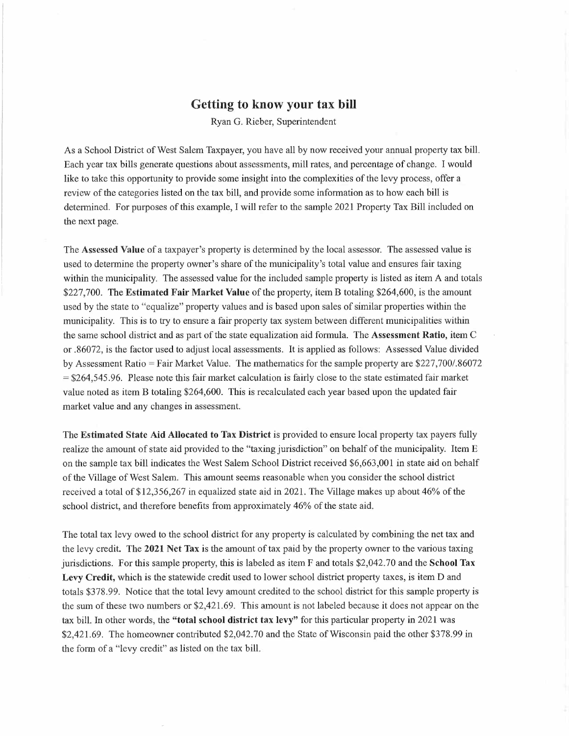# **Getting to know your tax bill**

Ryan G. Rieber, Superintendent

As a School District of West Salem Taxpayer, you have all by now received your annual property tax bill. Each year tax bills generate questions about assessments, mill rates, and percentage of change. <sup>I</sup> would like to take this opportunity to provide some insight into the complexities of the levy process, offer a review of the categories listed on the tax bill, and provide some information as to how each bill is determined. For purposes of this example, I will refer to the sample 2021 Property Tax Bill included on the next page.

The **Assessed Value** of <sup>a</sup> taxpayer's property is determined by the local assessor. The assessed value is used to determine the property owner's share of the municipality's total value and ensures fair taxing within the municipality. The assessed value for the included sample property is listed as item A and totals \$227,700. The **Estimated Fair Market Value** ofthe property, item <sup>B</sup> totaling \$264,600, is the amount used by the state to "equalize" property values and is based upon sales of similar properties within the municipality. This is to try to ensure a fair property tax system between different municipalities within the same school district and as part of the state equalization aid formula. The **Assessment Ratio**, item C or .86072, is the factor used to adjust local assessments. It is applied as follows: Assessed Value divided by Assessment Ratio= Fair Market Value. The mathematics for the sample property are \$227,700/.86072 = \$264,545.96. Please note this fair market calculation is fairly close to the state estimated fair market value noted as item B totaling \$264,600. This is recalculated each year based upon the updated fair market value and any changes in assessment.

The **Estimated State Aid Allocated to Tax District** is provided to ensure local property tax payers fully realize the amount of state aid provided to the "taxing jurisdiction" on behalf ofthe municipality. Item <sup>E</sup> on the sample tax bill indicates the West Salem School District received \$6,663,001 in state aid on behalf of the Village of West Salem. This amount seems reasonable when you consider the school district received <sup>a</sup> total of \$12,356,267 in equalized state aid in 2021. The Village makes up about 46% ofthe school district, and therefore benefits from approximately 46% of the state aid.

The total tax levy owed to the school district for any property is calculated by combining the net tax and the levy credit. The **2021 Net Tax** is the amount oftax paid by the property owner to the various taxing jurisdictions. For this sample property, this is labeled as item F and totals \$2,042.70 and the **School Tax Levy Credit,** which is the statewide credit used to lower school district property taxes, is item D and totals \$378.99. Notice that the total levy amount credited to the school district for this sample property is the sum of these two numbers or \$2,421.69. This amount is not labeled because it does not appear on the tax bill. In other words, the **"total school district tax levy"** for this particular property in 2021 was \$2,421.69. The homeowner contributed \$2,042.70 and the State of Wisconsin paid the other \$378.99 in the form of <sup>a</sup> "levy credit" as listed on the tax bill.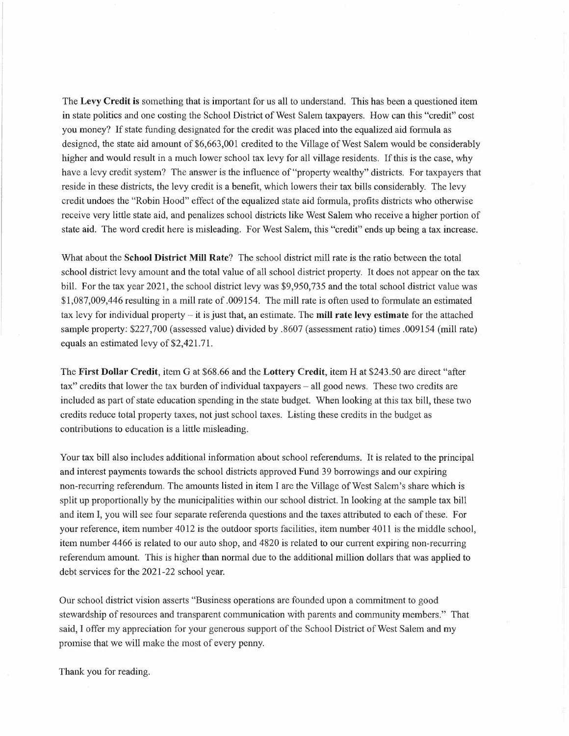The **Levy Credit is** something that is important for us all to understand. This has been a questioned item in state politics and one costing the School District of West Salem taxpayers. How can this "credit" cost you money? If state funding designated for the credit was placed into the equalized aid formula as designed, the state aid amount of \$6,663,001 credited to the Village of West Salem would be considerably higher and would result in a much lower school tax levy for all village residents. If this is the case, why have <sup>a</sup> levy credit system? The answer is the influence of "property wealthy" districts. For taxpayers that reside in these districts, the levy credit is a benefit, which lowers their tax bills considerably. The levy credit undoes the "Robin Hood" effect of the equalized state aid formula, profits districts who otherwise receive very little state aid, and penalizes school districts like West Salem who receive <sup>a</sup> higher portion of state aid. The word credit here is misleading. For West Salem, this "credit" ends up being a tax increase.

What about the **School District Mill Rate?** The school district mill rate is the ratio between the total school district levy amount and the total value of all school district property. It does not appear on the tax bill. For the tax year 2021, the school district levy was \$9,950,735 and the total school district value was \$1,087,009,446 resulting in <sup>a</sup> mill rate of.009154. The mill rate is often used to formulate an estimated tax levy for individual property  $-$  it is just that, an estimate. The **mill rate levy estimate** for the attached sample property: \$227,700 (assessed value) divided by .8607 (assessment ratio) times .009154 (mill rate) equals an estimated levy of \$2,421.71.

The **First Dollar Credit,** item G at \$68.66 and the **Lottery Credit,** item Hat \$243.50 are direct "after tax" credits that lower the tax burden of individual taxpayers – all good news. These two credits are included as part of state education spending in the state budget. When looking at this tax bill, these two credits reduce total property taxes, not just school taxes. Listing these credits in the budget as contributions to education is a little misleading.

Your tax bill also includes additional information about school referendums. It is related to the principal and interest payments towards the school districts approved Fund 39 borrowings and our expiring non-recurring referendum. The amounts listed in item I are the Village of West Salem's share which is split up proportionally by the municipalities within our school district. In looking at the sample tax bill and item I, you will see four separate referenda questions and the taxes attributed to each ofthese. For your reference, item number 4012 is the outdoor sports facilities, item number 4011 is the middle school, item number 4466 is related to our auto shop, and 4820 is related to our current expiring non-recurring referendum amount. This is higher than normal due to the additional million dollars that was applied to debt services for the 2021-22 school year.

Our school district vision asserts "Business operations are founded upon a commitment to good stewardship of resources and transparent communication with parents and community members." That said, <sup>I</sup> offer my appreciation for your generous support of the School District of West Salem and my promise that we will make the most of every penny.

Thank you for reading.